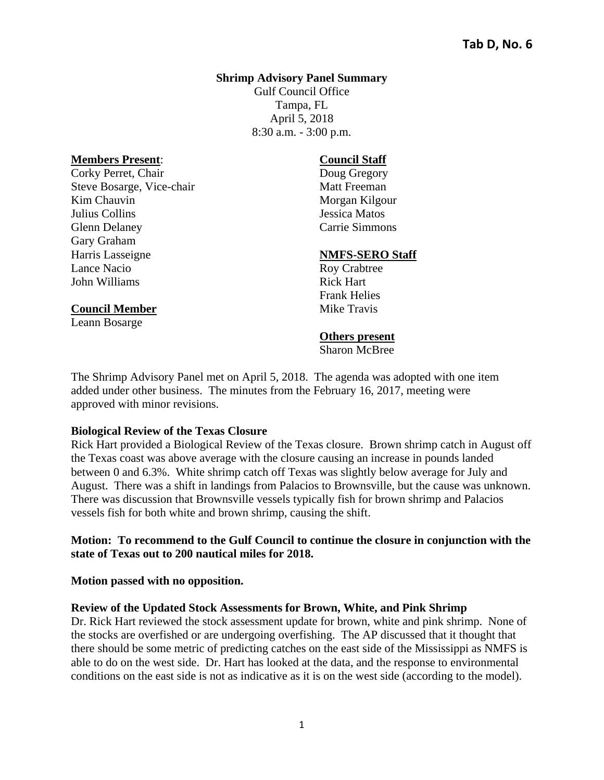#### **Shrimp Advisory Panel Summary**

Gulf Council Office Tampa, FL April 5, 2018 8:30 a.m. - 3:00 p.m.

#### **Members Present**:

**Council Member**  Leann Bosarge

Corky Perret, Chair Steve Bosarge, Vice-chair Kim Chauvin Julius Collins Glenn Delaney Gary Graham Harris Lasseigne Lance Nacio John Williams

#### **Council Staff**

Doug Gregory Matt Freeman Morgan Kilgour Jessica Matos Carrie Simmons

#### **NMFS-SERO Staff**

Roy Crabtree Rick Hart Frank Helies Mike Travis

#### **Others present**

Sharon McBree

The Shrimp Advisory Panel met on April 5, 2018. The agenda was adopted with one item added under other business. The minutes from the February 16, 2017, meeting were approved with minor revisions.

#### **Biological Review of the Texas Closure**

Rick Hart provided a Biological Review of the Texas closure. Brown shrimp catch in August off the Texas coast was above average with the closure causing an increase in pounds landed between 0 and 6.3%. White shrimp catch off Texas was slightly below average for July and August. There was a shift in landings from Palacios to Brownsville, but the cause was unknown. There was discussion that Brownsville vessels typically fish for brown shrimp and Palacios vessels fish for both white and brown shrimp, causing the shift.

#### **Motion: To recommend to the Gulf Council to continue the closure in conjunction with the state of Texas out to 200 nautical miles for 2018.**

**Motion passed with no opposition.** 

#### **Review of the Updated Stock Assessments for Brown, White, and Pink Shrimp**

Dr. Rick Hart reviewed the stock assessment update for brown, white and pink shrimp. None of the stocks are overfished or are undergoing overfishing. The AP discussed that it thought that there should be some metric of predicting catches on the east side of the Mississippi as NMFS is able to do on the west side. Dr. Hart has looked at the data, and the response to environmental conditions on the east side is not as indicative as it is on the west side (according to the model).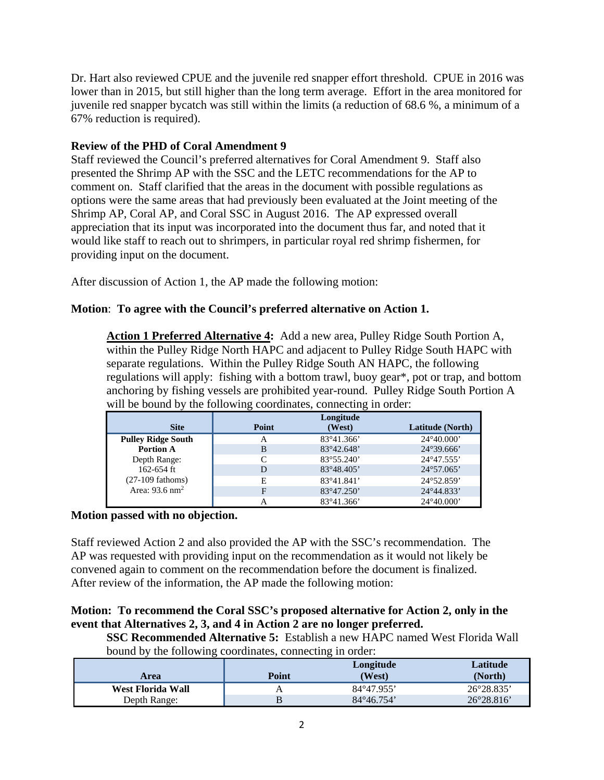Dr. Hart also reviewed CPUE and the juvenile red snapper effort threshold. CPUE in 2016 was lower than in 2015, but still higher than the long term average. Effort in the area monitored for juvenile red snapper bycatch was still within the limits (a reduction of 68.6 %, a minimum of a 67% reduction is required).

# **Review of the PHD of Coral Amendment 9**

Staff reviewed the Council's preferred alternatives for Coral Amendment 9. Staff also presented the Shrimp AP with the SSC and the LETC recommendations for the AP to comment on. Staff clarified that the areas in the document with possible regulations as options were the same areas that had previously been evaluated at the Joint meeting of the Shrimp AP, Coral AP, and Coral SSC in August 2016. The AP expressed overall appreciation that its input was incorporated into the document thus far, and noted that it would like staff to reach out to shrimpers, in particular royal red shrimp fishermen, for providing input on the document.

After discussion of Action 1, the AP made the following motion:

# **Motion**: **To agree with the Council's preferred alternative on Action 1.**

**Action 1 Preferred Alternative 4:** Add a new area, Pulley Ridge South Portion A, within the Pulley Ridge North HAPC and adjacent to Pulley Ridge South HAPC with separate regulations. Within the Pulley Ridge South AN HAPC, the following regulations will apply: fishing with a bottom trawl, buoy gear\*, pot or trap, and bottom anchoring by fishing vessels are prohibited year-round. Pulley Ridge South Portion A will be bound by the following coordinates, connecting in order:

|                           |       | Longitude           |                     |
|---------------------------|-------|---------------------|---------------------|
| <b>Site</b>               | Point | (West)              | Latitude (North)    |
| <b>Pulley Ridge South</b> | А     | $83^{\circ}41.366'$ | $24^{\circ}40.000'$ |
| <b>Portion A</b>          | B     | 83°42.648'          | $24^{\circ}39.666'$ |
| Depth Range:              |       | 83°55.240'          | 24°47.555'          |
| $162 - 654$ ft            | D     | 83°48.405'          | $24^{\circ}57.065'$ |
| $(27-109$ fathoms)        | Е     | 83°41.841'          | 24°52.859'          |
| Area: $93.6 \text{ nm}^2$ | F     | $83^{\circ}47.250'$ | 24°44.833'          |
|                           |       | $83^{\circ}41.366'$ | $24^{\circ}40.000'$ |

# **Motion passed with no objection.**

Staff reviewed Action 2 and also provided the AP with the SSC's recommendation. The AP was requested with providing input on the recommendation as it would not likely be convened again to comment on the recommendation before the document is finalized. After review of the information, the AP made the following motion:

# **Motion: To recommend the Coral SSC's proposed alternative for Action 2, only in the event that Alternatives 2, 3, and 4 in Action 2 are no longer preferred.**

**SSC Recommended Alternative 5:** Establish a new HAPC named West Florida Wall bound by the following coordinates, connecting in order:

| Area              | Point | Longitude<br>(West) | Latitude<br>(North) |
|-------------------|-------|---------------------|---------------------|
| West Florida Wall | A     | $84^{\circ}47.955'$ | 26°28.835'          |
| Depth Range:      |       | $84^{\circ}46.754'$ | $26^{\circ}28.816'$ |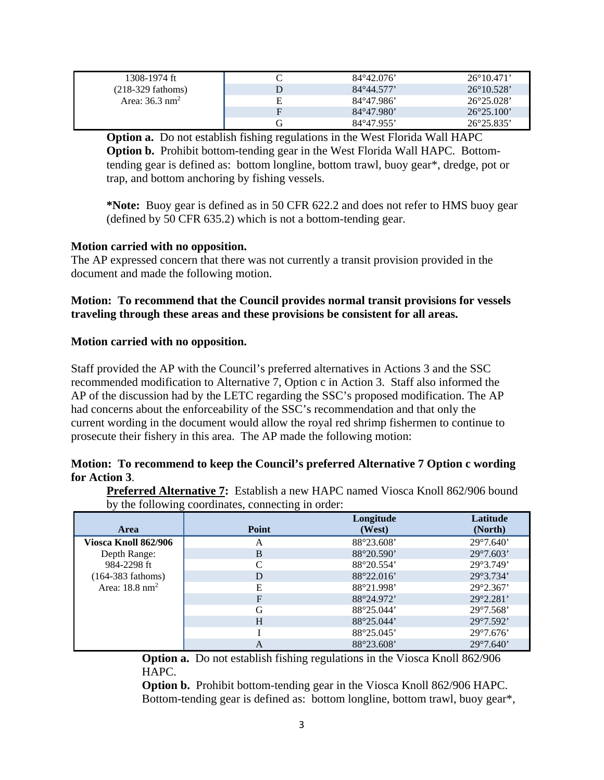| 1308-1974 ft                 |   | $84^{\circ}42.076'$ | $26^{\circ}10.471'$ |
|------------------------------|---|---------------------|---------------------|
| $(218-329)$ fathoms)         |   | $84^{\circ}44.577'$ | $26^{\circ}10.528'$ |
| Area: $36.3$ nm <sup>2</sup> | Е | 84°47.986'          | $26^{\circ}25.028'$ |
|                              | F | 84°47.980'          | $26^{\circ}25.100'$ |
|                              |   | $84^{\circ}47.955'$ | $26^{\circ}25.835'$ |

**Option a.** Do not establish fishing regulations in the West Florida Wall HAPC **Option b.** Prohibit bottom-tending gear in the West Florida Wall HAPC. Bottomtending gear is defined as: bottom longline, bottom trawl, buoy gear\*, dredge, pot or trap, and bottom anchoring by fishing vessels.

**\*Note:** Buoy gear is defined as in 50 CFR 622.2 and does not refer to HMS buoy gear (defined by 50 CFR 635.2) which is not a bottom-tending gear.

# **Motion carried with no opposition.**

The AP expressed concern that there was not currently a transit provision provided in the document and made the following motion.

# **Motion: To recommend that the Council provides normal transit provisions for vessels traveling through these areas and these provisions be consistent for all areas.**

# **Motion carried with no opposition.**

Staff provided the AP with the Council's preferred alternatives in Actions 3 and the SSC recommended modification to Alternative 7, Option c in Action 3. Staff also informed the AP of the discussion had by the LETC regarding the SSC's proposed modification. The AP had concerns about the enforceability of the SSC's recommendation and that only the current wording in the document would allow the royal red shrimp fishermen to continue to prosecute their fishery in this area. The AP made the following motion:

# **Motion: To recommend to keep the Council's preferred Alternative 7 Option c wording for Action 3**.

**Preferred Alternative 7:** Establish a new HAPC named Viosca Knoll 862/906 bound by the following coordinates, connecting in order:

| Area                      | Point          | Longitude<br>(West) | Latitude<br>(North) |
|---------------------------|----------------|---------------------|---------------------|
| Viosca Knoll 862/906      | А              | 88°23.608'          | $29^{\circ}7.640'$  |
| Depth Range:              | B              | 88°20.590'          | $29^{\circ}7.603'$  |
| 984-2298 ft               | $\sqrt{ }$     | 88°20.554'          | 29°3.749'           |
| $(164-383$ fathoms)       | D              | 88°22.016'          | 29°3.734'           |
| Area: $18.8 \text{ nm}^2$ | Е              | 88°21.998'          | $29^{\circ}2.367'$  |
|                           | $\overline{F}$ | 88°24.972'          | $29^{\circ}2.281'$  |
|                           | G              | 88°25.044'          | $29^{\circ}7.568'$  |
|                           | H              | 88°25.044'          | $29^{\circ}7.592'$  |
|                           |                | 88°25.045'          | $29^{\circ}7.676'$  |
|                           | А              | 88°23.608'          | $29^{\circ}7.640'$  |

**Option a.** Do not establish fishing regulations in the Viosca Knoll 862/906 HAPC.

**Option b.** Prohibit bottom-tending gear in the Viosca Knoll 862/906 HAPC. Bottom-tending gear is defined as: bottom longline, bottom trawl, buoy gear\*,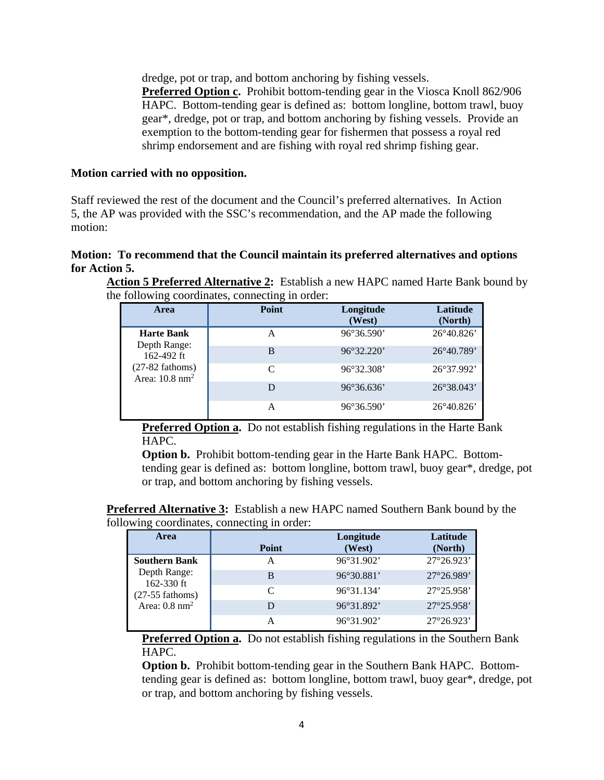dredge, pot or trap, and bottom anchoring by fishing vessels. **Preferred Option c.** Prohibit bottom-tending gear in the Viosca Knoll 862/906 HAPC. Bottom-tending gear is defined as: bottom longline, bottom trawl, buoy gear\*, dredge, pot or trap, and bottom anchoring by fishing vessels. Provide an exemption to the bottom-tending gear for fishermen that possess a royal red shrimp endorsement and are fishing with royal red shrimp fishing gear.

## **Motion carried with no opposition.**

Staff reviewed the rest of the document and the Council's preferred alternatives. In Action 5, the AP was provided with the SSC's recommendation, and the AP made the following motion:

# **Motion: To recommend that the Council maintain its preferred alternatives and options for Action 5.**

**Action 5 Preferred Alternative 2:** Establish a new HAPC named Harte Bank bound by the following coordinates, connecting in order:

| Area                                              | Point     | Longitude<br>(West) | Latitude<br>(North) |
|---------------------------------------------------|-----------|---------------------|---------------------|
| <b>Harte Bank</b>                                 | А         | $96^{\circ}36.590'$ | 26°40.826'          |
| Depth Range:<br>162-492 $ft$                      | B         | 96°32.220'          | $26^{\circ}40.789'$ |
| $(27-82$ fathoms)<br>Area: $10.8$ nm <sup>2</sup> | $\subset$ | 96°32.308'          | 26°37.992'          |
|                                                   | D         | $96^{\circ}36.636'$ | $26^{\circ}38.043'$ |
|                                                   | A         | $96^{\circ}36.590'$ | $26^{\circ}40.826'$ |

**Preferred Option a.** Do not establish fishing regulations in the Harte Bank HAPC.

**Option b.** Prohibit bottom-tending gear in the Harte Bank HAPC. Bottomtending gear is defined as: bottom longline, bottom trawl, buoy gear\*, dredge, pot or trap, and bottom anchoring by fishing vessels.

**Preferred Alternative 3:** Establish a new HAPC named Southern Bank bound by the following coordinates, connecting in order:

| <b>Area</b>                     | Point     | Longitude<br>(West) | Latitude<br>(North) |
|---------------------------------|-----------|---------------------|---------------------|
| <b>Southern Bank</b>            | А         | 96°31.902'          | $27^{\circ}26.923'$ |
| Depth Range:                    | B         | 96°30.881'          | 27°26.989'          |
| 162-330 ft<br>$(27-55$ fathoms) | $\subset$ | 96°31.134'          | $27^{\circ}25.958'$ |
| Area: $0.8$ nm <sup>2</sup>     | D         | 96°31.892'          | $27^{\circ}25.958'$ |
|                                 | А         | 96°31.902'          | $27^{\circ}26.923'$ |

**Preferred Option a.** Do not establish fishing regulations in the Southern Bank HAPC.

**Option b.** Prohibit bottom-tending gear in the Southern Bank HAPC. Bottomtending gear is defined as: bottom longline, bottom trawl, buoy gear\*, dredge, pot or trap, and bottom anchoring by fishing vessels.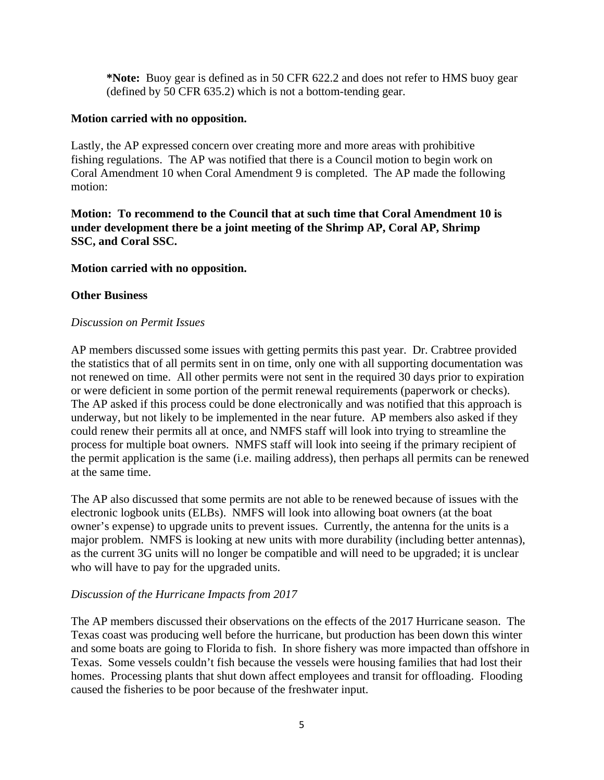**\*Note:** Buoy gear is defined as in 50 CFR 622.2 and does not refer to HMS buoy gear (defined by 50 CFR 635.2) which is not a bottom-tending gear.

#### **Motion carried with no opposition.**

Lastly, the AP expressed concern over creating more and more areas with prohibitive fishing regulations. The AP was notified that there is a Council motion to begin work on Coral Amendment 10 when Coral Amendment 9 is completed. The AP made the following motion:

**Motion: To recommend to the Council that at such time that Coral Amendment 10 is under development there be a joint meeting of the Shrimp AP, Coral AP, Shrimp SSC, and Coral SSC.** 

# **Motion carried with no opposition.**

# **Other Business**

#### *Discussion on Permit Issues*

AP members discussed some issues with getting permits this past year. Dr. Crabtree provided the statistics that of all permits sent in on time, only one with all supporting documentation was not renewed on time. All other permits were not sent in the required 30 days prior to expiration or were deficient in some portion of the permit renewal requirements (paperwork or checks). The AP asked if this process could be done electronically and was notified that this approach is underway, but not likely to be implemented in the near future. AP members also asked if they could renew their permits all at once, and NMFS staff will look into trying to streamline the process for multiple boat owners. NMFS staff will look into seeing if the primary recipient of the permit application is the same (i.e. mailing address), then perhaps all permits can be renewed at the same time.

The AP also discussed that some permits are not able to be renewed because of issues with the electronic logbook units (ELBs). NMFS will look into allowing boat owners (at the boat owner's expense) to upgrade units to prevent issues. Currently, the antenna for the units is a major problem. NMFS is looking at new units with more durability (including better antennas), as the current 3G units will no longer be compatible and will need to be upgraded; it is unclear who will have to pay for the upgraded units.

#### *Discussion of the Hurricane Impacts from 2017*

The AP members discussed their observations on the effects of the 2017 Hurricane season. The Texas coast was producing well before the hurricane, but production has been down this winter and some boats are going to Florida to fish. In shore fishery was more impacted than offshore in Texas. Some vessels couldn't fish because the vessels were housing families that had lost their homes. Processing plants that shut down affect employees and transit for offloading. Flooding caused the fisheries to be poor because of the freshwater input.